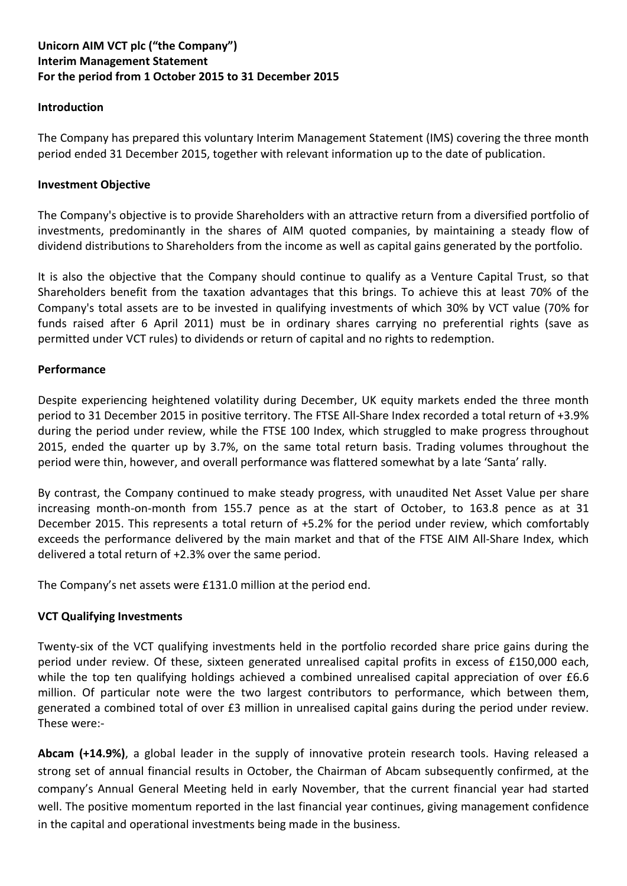# **Unicorn AIM VCT plc ("the Company") Interim Management Statement For the period from 1 October 2015 to 31 December 2015**

#### **Introduction**

The Company has prepared this voluntary Interim Management Statement (IMS) covering the three month period ended 31 December 2015, together with relevant information up to the date of publication.

#### **Investment Objective**

The Company's objective is to provide Shareholders with an attractive return from a diversified portfolio of investments, predominantly in the shares of AIM quoted companies, by maintaining a steady flow of dividend distributions to Shareholders from the income as well as capital gains generated by the portfolio.

It is also the objective that the Company should continue to qualify as a Venture Capital Trust, so that Shareholders benefit from the taxation advantages that this brings. To achieve this at least 70% of the Company's total assets are to be invested in qualifying investments of which 30% by VCT value (70% for funds raised after 6 April 2011) must be in ordinary shares carrying no preferential rights (save as permitted under VCT rules) to dividends or return of capital and no rights to redemption.

#### **Performance**

Despite experiencing heightened volatility during December, UK equity markets ended the three month period to 31 December 2015 in positive territory. The FTSE All-Share Index recorded a total return of +3.9% during the period under review, while the FTSE 100 Index, which struggled to make progress throughout 2015, ended the quarter up by 3.7%, on the same total return basis. Trading volumes throughout the period were thin, however, and overall performance was flattered somewhat by a late 'Santa' rally.

By contrast, the Company continued to make steady progress, with unaudited Net Asset Value per share increasing month-on-month from 155.7 pence as at the start of October, to 163.8 pence as at 31 December 2015. This represents a total return of +5.2% for the period under review, which comfortably exceeds the performance delivered by the main market and that of the FTSE AIM All-Share Index, which delivered a total return of +2.3% over the same period.

The Company's net assets were £131.0 million at the period end.

### **VCT Qualifying Investments**

Twenty-six of the VCT qualifying investments held in the portfolio recorded share price gains during the period under review. Of these, sixteen generated unrealised capital profits in excess of £150,000 each, while the top ten qualifying holdings achieved a combined unrealised capital appreciation of over £6.6 million. Of particular note were the two largest contributors to performance, which between them, generated a combined total of over £3 million in unrealised capital gains during the period under review. These were:-

**Abcam (+14.9%)**, a global leader in the supply of innovative protein research tools. Having released a strong set of annual financial results in October, the Chairman of Abcam subsequently confirmed, at the company's Annual General Meeting held in early November, that the current financial year had started well. The positive momentum reported in the last financial year continues, giving management confidence in the capital and operational investments being made in the business.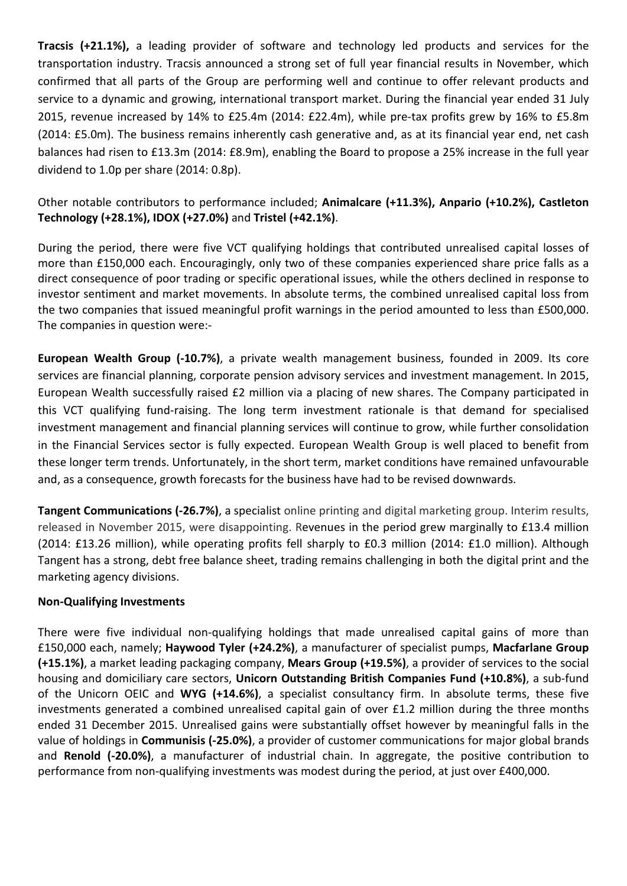**Tracsis (+21.1%),** a leading provider of software and technology led products and services for the transportation industry. Tracsis announced a strong set of full year financial results in November, which confirmed that all parts of the Group are performing well and continue to offer relevant products and service to a dynamic and growing, international transport market. During the financial year ended 31 July 2015, revenue increased by 14% to £25.4m (2014: £22.4m), while pre-tax profits grew by 16% to £5.8m (2014: £5.0m). The business remains inherently cash generative and, as at its financial year end, net cash balances had risen to £13.3m (2014: £8.9m), enabling the Board to propose a 25% increase in the full year dividend to 1.0p per share (2014: 0.8p).

# Other notable contributors to performance included; **Animalcare (+11.3%), Anpario (+10.2%), Castleton Technology (+28.1%), IDOX (+27.0%)** and **Tristel (+42.1%)**.

During the period, there were five VCT qualifying holdings that contributed unrealised capital losses of more than £150,000 each. Encouragingly, only two of these companies experienced share price falls as a direct consequence of poor trading or specific operational issues, while the others declined in response to investor sentiment and market movements. In absolute terms, the combined unrealised capital loss from the two companies that issued meaningful profit warnings in the period amounted to less than £500,000. The companies in question were:-

**European Wealth Group (-10.7%)**, a private wealth management business, founded in 2009. Its core services are financial planning, corporate pension advisory services and investment management. In 2015, European Wealth successfully raised £2 million via a placing of new shares. The Company participated in this VCT qualifying fund-raising. The long term investment rationale is that demand for specialised investment management and financial planning services will continue to grow, while further consolidation in the Financial Services sector is fully expected. European Wealth Group is well placed to benefit from these longer term trends. Unfortunately, in the short term, market conditions have remained unfavourable and, as a consequence, growth forecasts for the business have had to be revised downwards.

**Tangent Communications (-26.7%)**, a specialist online printing and digital marketing group. Interim results, released in November 2015, were disappointing. Revenues in the period grew marginally to £13.4 million (2014: £13.26 million), while operating profits fell sharply to £0.3 million (2014: £1.0 million). Although Tangent has a strong, debt free balance sheet, trading remains challenging in both the digital print and the marketing agency divisions.

### **Non-Qualifying Investments**

There were five individual non-qualifying holdings that made unrealised capital gains of more than £150,000 each, namely; **Haywood Tyler (+24.2%)**, a manufacturer of specialist pumps, **Macfarlane Group (+15.1%)**, a market leading packaging company, **Mears Group (+19.5%)**, a provider of services to the social housing and domiciliary care sectors, **Unicorn Outstanding British Companies Fund (+10.8%)**, a sub-fund of the Unicorn OEIC and **WYG (+14.6%)**, a specialist consultancy firm. In absolute terms, these five investments generated a combined unrealised capital gain of over £1.2 million during the three months ended 31 December 2015. Unrealised gains were substantially offset however by meaningful falls in the value of holdings in **Communisis (-25.0%)**, a provider of customer communications for major global brands and **Renold (-20.0%)**, a manufacturer of industrial chain. In aggregate, the positive contribution to performance from non-qualifying investments was modest during the period, at just over £400,000.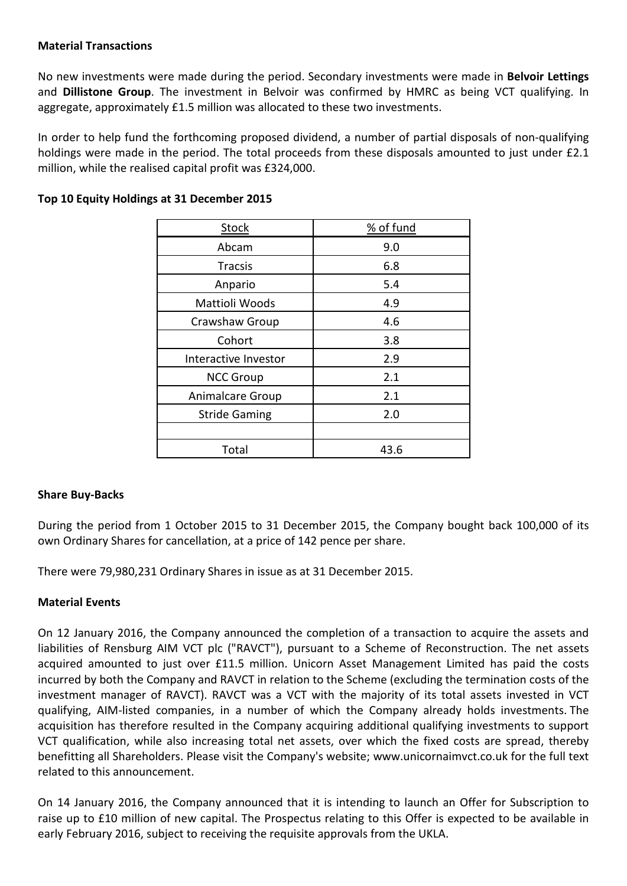#### **Material Transactions**

No new investments were made during the period. Secondary investments were made in **Belvoir Lettings** and **Dillistone Group**. The investment in Belvoir was confirmed by HMRC as being VCT qualifying. In aggregate, approximately £1.5 million was allocated to these two investments.

In order to help fund the forthcoming proposed dividend, a number of partial disposals of non-qualifying holdings were made in the period. The total proceeds from these disposals amounted to just under £2.1 million, while the realised capital profit was £324,000.

| <b>Stock</b>         | % of fund |
|----------------------|-----------|
| Abcam                | 9.0       |
| <b>Tracsis</b>       | 6.8       |
| Anpario              | 5.4       |
| Mattioli Woods       | 4.9       |
| Crawshaw Group       | 4.6       |
| Cohort               | 3.8       |
| Interactive Investor | 2.9       |
| <b>NCC Group</b>     | 2.1       |
| Animalcare Group     | 2.1       |
| <b>Stride Gaming</b> | 2.0       |
|                      |           |
| Total                | 43.6      |

# **Top 10 Equity Holdings at 31 December 2015**

### **Share Buy-Backs**

During the period from 1 October 2015 to 31 December 2015, the Company bought back 100,000 of its own Ordinary Shares for cancellation, at a price of 142 pence per share.

There were 79,980,231 Ordinary Shares in issue as at 31 December 2015.

### **Material Events**

On 12 January 2016, the Company announced the completion of a transaction to acquire the assets and liabilities of Rensburg AIM VCT plc ("RAVCT"), pursuant to a Scheme of Reconstruction. The net assets acquired amounted to just over £11.5 million. Unicorn Asset Management Limited has paid the costs incurred by both the Company and RAVCT in relation to the Scheme (excluding the termination costs of the investment manager of RAVCT). RAVCT was a VCT with the majority of its total assets invested in VCT qualifying, AIM-listed companies, in a number of which the Company already holds investments. The acquisition has therefore resulted in the Company acquiring additional qualifying investments to support VCT qualification, while also increasing total net assets, over which the fixed costs are spread, thereby benefitting all Shareholders. Please visit the Company's website; www.unicornaimvct.co.uk for the full text related to this announcement.

On 14 January 2016, the Company announced that it is intending to launch an Offer for Subscription to raise up to £10 million of new capital. The Prospectus relating to this Offer is expected to be available in early February 2016, subject to receiving the requisite approvals from the UKLA.